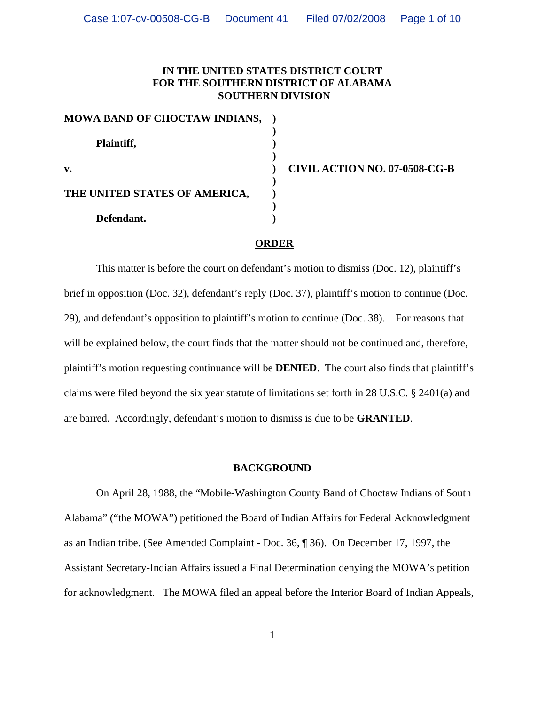# **IN THE UNITED STATES DISTRICT COURT FOR THE SOUTHERN DISTRICT OF ALABAMA SOUTHERN DIVISION**

| MOWA BAND OF CHOCTAW INDIANS, |  |
|-------------------------------|--|
| Plaintiff,                    |  |
| $\mathbf{v}$ .                |  |
| THE UNITED STATES OF AMERICA, |  |
| Defendant.                    |  |

**v. ) CIVIL ACTION NO. 07-0508-CG-B**

#### **ORDER**

This matter is before the court on defendant's motion to dismiss (Doc. 12), plaintiff's brief in opposition (Doc. 32), defendant's reply (Doc. 37), plaintiff's motion to continue (Doc. 29), and defendant's opposition to plaintiff's motion to continue (Doc. 38). For reasons that will be explained below, the court finds that the matter should not be continued and, therefore, plaintiff's motion requesting continuance will be **DENIED**. The court also finds that plaintiff's claims were filed beyond the six year statute of limitations set forth in 28 U.S.C. § 2401(a) and are barred. Accordingly, defendant's motion to dismiss is due to be **GRANTED**.

## **BACKGROUND**

On April 28, 1988, the "Mobile-Washington County Band of Choctaw Indians of South Alabama" ("the MOWA") petitioned the Board of Indian Affairs for Federal Acknowledgment as an Indian tribe. (See Amended Complaint - Doc. 36, ¶ 36). On December 17, 1997, the Assistant Secretary-Indian Affairs issued a Final Determination denying the MOWA's petition for acknowledgment. The MOWA filed an appeal before the Interior Board of Indian Appeals,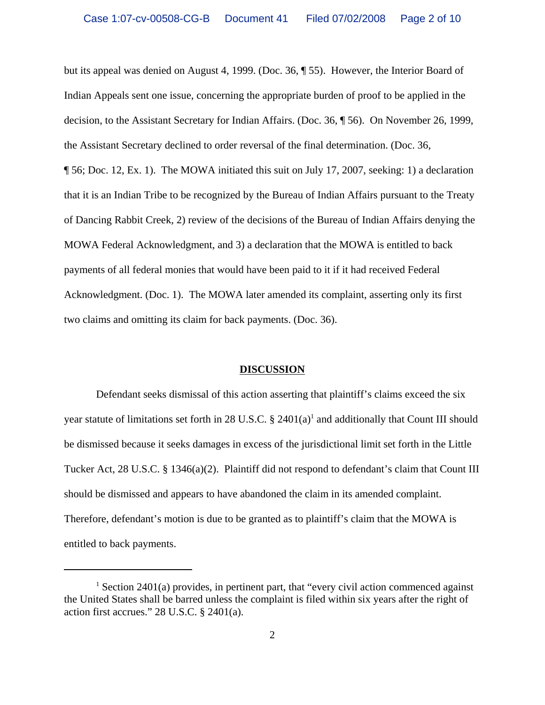but its appeal was denied on August 4, 1999. (Doc. 36, ¶ 55). However, the Interior Board of Indian Appeals sent one issue, concerning the appropriate burden of proof to be applied in the decision, to the Assistant Secretary for Indian Affairs. (Doc. 36, ¶ 56). On November 26, 1999, the Assistant Secretary declined to order reversal of the final determination. (Doc. 36, ¶ 56; Doc. 12, Ex. 1). The MOWA initiated this suit on July 17, 2007, seeking: 1) a declaration that it is an Indian Tribe to be recognized by the Bureau of Indian Affairs pursuant to the Treaty of Dancing Rabbit Creek, 2) review of the decisions of the Bureau of Indian Affairs denying the MOWA Federal Acknowledgment, and 3) a declaration that the MOWA is entitled to back payments of all federal monies that would have been paid to it if it had received Federal Acknowledgment. (Doc. 1). The MOWA later amended its complaint, asserting only its first two claims and omitting its claim for back payments. (Doc. 36).

## **DISCUSSION**

Defendant seeks dismissal of this action asserting that plaintiff's claims exceed the six year statute of limitations set forth in 28 U.S.C.  $\S$  2401(a)<sup>1</sup> and additionally that Count III should be dismissed because it seeks damages in excess of the jurisdictional limit set forth in the Little Tucker Act, 28 U.S.C. § 1346(a)(2). Plaintiff did not respond to defendant's claim that Count III should be dismissed and appears to have abandoned the claim in its amended complaint. Therefore, defendant's motion is due to be granted as to plaintiff's claim that the MOWA is entitled to back payments.

<sup>&</sup>lt;sup>1</sup> Section 2401(a) provides, in pertinent part, that "every civil action commenced against the United States shall be barred unless the complaint is filed within six years after the right of action first accrues." 28 U.S.C. § 2401(a).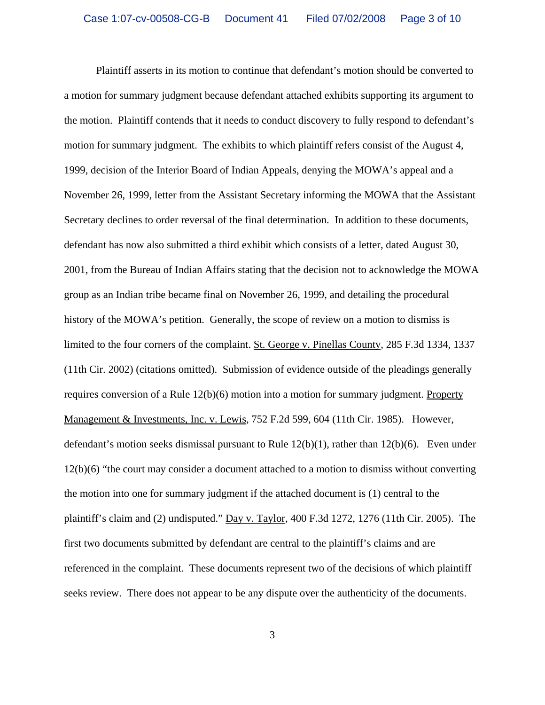Plaintiff asserts in its motion to continue that defendant's motion should be converted to a motion for summary judgment because defendant attached exhibits supporting its argument to the motion. Plaintiff contends that it needs to conduct discovery to fully respond to defendant's motion for summary judgment. The exhibits to which plaintiff refers consist of the August 4, 1999, decision of the Interior Board of Indian Appeals, denying the MOWA's appeal and a November 26, 1999, letter from the Assistant Secretary informing the MOWA that the Assistant Secretary declines to order reversal of the final determination. In addition to these documents, defendant has now also submitted a third exhibit which consists of a letter, dated August 30, 2001, from the Bureau of Indian Affairs stating that the decision not to acknowledge the MOWA group as an Indian tribe became final on November 26, 1999, and detailing the procedural history of the MOWA's petition. Generally, the scope of review on a motion to dismiss is limited to the four corners of the complaint. St. George v. Pinellas County, 285 F.3d 1334, 1337 (11th Cir. 2002) (citations omitted). Submission of evidence outside of the pleadings generally requires conversion of a Rule 12(b)(6) motion into a motion for summary judgment. Property Management & Investments, Inc. v. Lewis, 752 F.2d 599, 604 (11th Cir. 1985). However, defendant's motion seeks dismissal pursuant to Rule  $12(b)(1)$ , rather than  $12(b)(6)$ . Even under 12(b)(6) "the court may consider a document attached to a motion to dismiss without converting the motion into one for summary judgment if the attached document is (1) central to the plaintiff's claim and (2) undisputed." Day v. Taylor, 400 F.3d 1272, 1276 (11th Cir. 2005). The first two documents submitted by defendant are central to the plaintiff's claims and are referenced in the complaint. These documents represent two of the decisions of which plaintiff seeks review. There does not appear to be any dispute over the authenticity of the documents.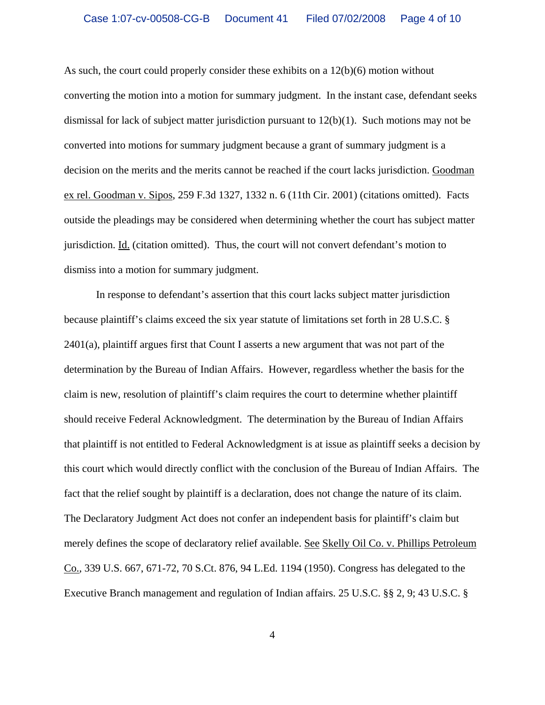As such, the court could properly consider these exhibits on a  $12(b)(6)$  motion without converting the motion into a motion for summary judgment. In the instant case, defendant seeks dismissal for lack of subject matter jurisdiction pursuant to  $12(b)(1)$ . Such motions may not be converted into motions for summary judgment because a grant of summary judgment is a decision on the merits and the merits cannot be reached if the court lacks jurisdiction. Goodman ex rel. Goodman v. Sipos, 259 F.3d 1327, 1332 n. 6 (11th Cir. 2001) (citations omitted). Facts outside the pleadings may be considered when determining whether the court has subject matter jurisdiction. Id. (citation omitted). Thus, the court will not convert defendant's motion to dismiss into a motion for summary judgment.

In response to defendant's assertion that this court lacks subject matter jurisdiction because plaintiff's claims exceed the six year statute of limitations set forth in 28 U.S.C. § 2401(a), plaintiff argues first that Count I asserts a new argument that was not part of the determination by the Bureau of Indian Affairs. However, regardless whether the basis for the claim is new, resolution of plaintiff's claim requires the court to determine whether plaintiff should receive Federal Acknowledgment. The determination by the Bureau of Indian Affairs that plaintiff is not entitled to Federal Acknowledgment is at issue as plaintiff seeks a decision by this court which would directly conflict with the conclusion of the Bureau of Indian Affairs. The fact that the relief sought by plaintiff is a declaration, does not change the nature of its claim. The Declaratory Judgment Act does not confer an independent basis for plaintiff's claim but merely defines the scope of declaratory relief available. See Skelly Oil Co. v. Phillips Petroleum Co., 339 U.S. 667, 671-72, 70 S.Ct. 876, 94 L.Ed. 1194 (1950). Congress has delegated to the Executive Branch management and regulation of Indian affairs. 25 U.S.C. §§ 2, 9; 43 U.S.C. §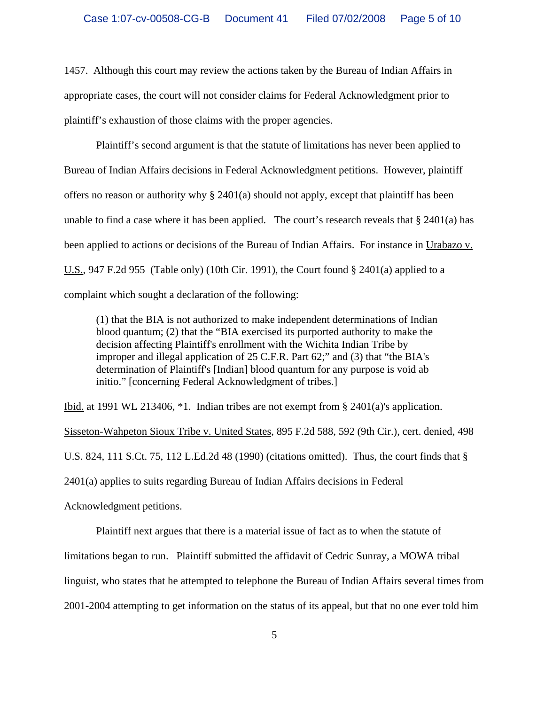1457. Although this court may review the actions taken by the Bureau of Indian Affairs in appropriate cases, the court will not consider claims for Federal Acknowledgment prior to plaintiff's exhaustion of those claims with the proper agencies.

Plaintiff's second argument is that the statute of limitations has never been applied to Bureau of Indian Affairs decisions in Federal Acknowledgment petitions. However, plaintiff offers no reason or authority why  $\S 2401(a)$  should not apply, except that plaintiff has been unable to find a case where it has been applied. The court's research reveals that  $\S 2401(a)$  has been applied to actions or decisions of the Bureau of Indian Affairs. For instance in Urabazo v. U.S., 947 F.2d 955 (Table only) (10th Cir. 1991), the Court found  $\S$  2401(a) applied to a complaint which sought a declaration of the following:

(1) that the BIA is not authorized to make independent determinations of Indian blood quantum; (2) that the "BIA exercised its purported authority to make the decision affecting Plaintiff's enrollment with the Wichita Indian Tribe by improper and illegal application of 25 C.F.R. Part 62;" and (3) that "the BIA's determination of Plaintiff's [Indian] blood quantum for any purpose is void ab initio." [concerning Federal Acknowledgment of tribes.]

Ibid. at 1991 WL 213406, \*1. Indian tribes are not exempt from § 2401(a)'s application.

Sisseton-Wahpeton Sioux Tribe v. United States, 895 F.2d 588, 592 (9th Cir.), cert. denied, 498 U.S. 824, 111 S.Ct. 75, 112 L.Ed.2d 48 (1990) (citations omitted). Thus, the court finds that § 2401(a) applies to suits regarding Bureau of Indian Affairs decisions in Federal

Acknowledgment petitions.

Plaintiff next argues that there is a material issue of fact as to when the statute of limitations began to run. Plaintiff submitted the affidavit of Cedric Sunray, a MOWA tribal linguist, who states that he attempted to telephone the Bureau of Indian Affairs several times from 2001-2004 attempting to get information on the status of its appeal, but that no one ever told him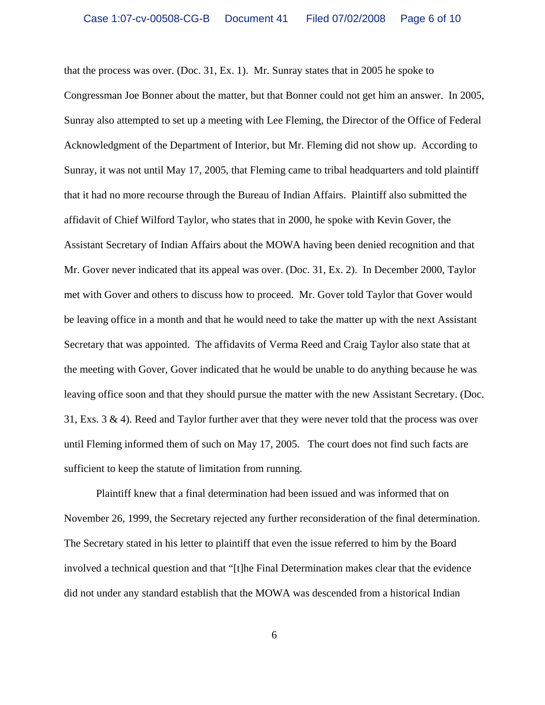that the process was over. (Doc. 31, Ex. 1). Mr. Sunray states that in 2005 he spoke to Congressman Joe Bonner about the matter, but that Bonner could not get him an answer. In 2005, Sunray also attempted to set up a meeting with Lee Fleming, the Director of the Office of Federal Acknowledgment of the Department of Interior, but Mr. Fleming did not show up. According to Sunray, it was not until May 17, 2005, that Fleming came to tribal headquarters and told plaintiff that it had no more recourse through the Bureau of Indian Affairs. Plaintiff also submitted the affidavit of Chief Wilford Taylor, who states that in 2000, he spoke with Kevin Gover, the Assistant Secretary of Indian Affairs about the MOWA having been denied recognition and that Mr. Gover never indicated that its appeal was over. (Doc. 31, Ex. 2). In December 2000, Taylor met with Gover and others to discuss how to proceed. Mr. Gover told Taylor that Gover would be leaving office in a month and that he would need to take the matter up with the next Assistant Secretary that was appointed. The affidavits of Verma Reed and Craig Taylor also state that at the meeting with Gover, Gover indicated that he would be unable to do anything because he was leaving office soon and that they should pursue the matter with the new Assistant Secretary. (Doc. 31, Exs. 3 & 4). Reed and Taylor further aver that they were never told that the process was over until Fleming informed them of such on May 17, 2005. The court does not find such facts are sufficient to keep the statute of limitation from running.

Plaintiff knew that a final determination had been issued and was informed that on November 26, 1999, the Secretary rejected any further reconsideration of the final determination. The Secretary stated in his letter to plaintiff that even the issue referred to him by the Board involved a technical question and that "[t]he Final Determination makes clear that the evidence did not under any standard establish that the MOWA was descended from a historical Indian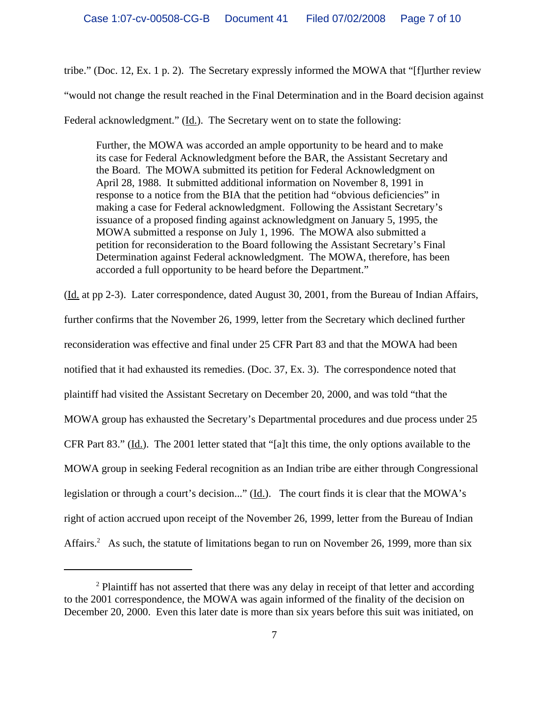tribe." (Doc. 12, Ex. 1 p. 2). The Secretary expressly informed the MOWA that "[f]urther review "would not change the result reached in the Final Determination and in the Board decision against Federal acknowledgment." (Id.). The Secretary went on to state the following:

Further, the MOWA was accorded an ample opportunity to be heard and to make its case for Federal Acknowledgment before the BAR, the Assistant Secretary and the Board. The MOWA submitted its petition for Federal Acknowledgment on April 28, 1988. It submitted additional information on November 8, 1991 in response to a notice from the BIA that the petition had "obvious deficiencies" in making a case for Federal acknowledgment. Following the Assistant Secretary's issuance of a proposed finding against acknowledgment on January 5, 1995, the MOWA submitted a response on July 1, 1996. The MOWA also submitted a petition for reconsideration to the Board following the Assistant Secretary's Final Determination against Federal acknowledgment. The MOWA, therefore, has been accorded a full opportunity to be heard before the Department."

(Id. at pp 2-3). Later correspondence, dated August 30, 2001, from the Bureau of Indian Affairs, further confirms that the November 26, 1999, letter from the Secretary which declined further reconsideration was effective and final under 25 CFR Part 83 and that the MOWA had been notified that it had exhausted its remedies. (Doc. 37, Ex. 3). The correspondence noted that plaintiff had visited the Assistant Secretary on December 20, 2000, and was told "that the MOWA group has exhausted the Secretary's Departmental procedures and due process under 25 CFR Part 83." (Id.). The 2001 letter stated that "[a]t this time, the only options available to the MOWA group in seeking Federal recognition as an Indian tribe are either through Congressional legislation or through a court's decision..." (Id.). The court finds it is clear that the MOWA's right of action accrued upon receipt of the November 26, 1999, letter from the Bureau of Indian Affairs.<sup>2</sup> As such, the statute of limitations began to run on November 26, 1999, more than six

 $2$  Plaintiff has not asserted that there was any delay in receipt of that letter and according to the 2001 correspondence, the MOWA was again informed of the finality of the decision on December 20, 2000. Even this later date is more than six years before this suit was initiated, on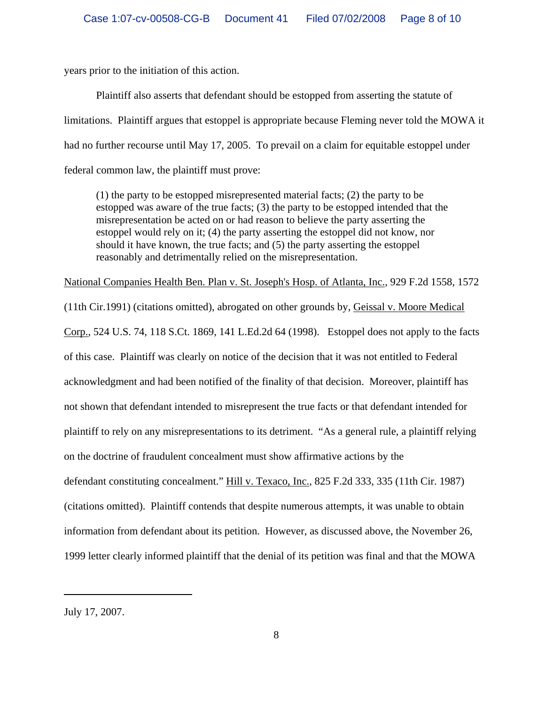years prior to the initiation of this action.

Plaintiff also asserts that defendant should be estopped from asserting the statute of limitations. Plaintiff argues that estoppel is appropriate because Fleming never told the MOWA it had no further recourse until May 17, 2005. To prevail on a claim for equitable estoppel under federal common law, the plaintiff must prove:

(1) the party to be estopped misrepresented material facts; (2) the party to be estopped was aware of the true facts; (3) the party to be estopped intended that the misrepresentation be acted on or had reason to believe the party asserting the estoppel would rely on it; (4) the party asserting the estoppel did not know, nor should it have known, the true facts; and (5) the party asserting the estoppel reasonably and detrimentally relied on the misrepresentation.

National Companies Health Ben. Plan v. St. Joseph's Hosp. of Atlanta, Inc., 929 F.2d 1558, 1572

(11th Cir.1991) (citations omitted), abrogated on other grounds by, Geissal v. Moore Medical Corp., 524 U.S. 74, 118 S.Ct. 1869, 141 L.Ed.2d 64 (1998). Estoppel does not apply to the facts of this case. Plaintiff was clearly on notice of the decision that it was not entitled to Federal acknowledgment and had been notified of the finality of that decision. Moreover, plaintiff has not shown that defendant intended to misrepresent the true facts or that defendant intended for plaintiff to rely on any misrepresentations to its detriment. "As a general rule, a plaintiff relying on the doctrine of fraudulent concealment must show affirmative actions by the defendant constituting concealment." Hill v. Texaco, Inc., 825 F.2d 333, 335 (11th Cir. 1987) (citations omitted). Plaintiff contends that despite numerous attempts, it was unable to obtain information from defendant about its petition. However, as discussed above, the November 26, 1999 letter clearly informed plaintiff that the denial of its petition was final and that the MOWA

July 17, 2007.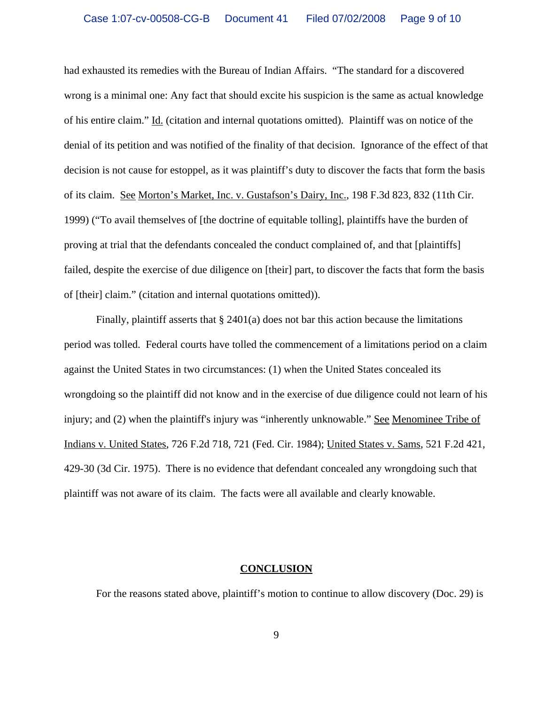had exhausted its remedies with the Bureau of Indian Affairs. "The standard for a discovered wrong is a minimal one: Any fact that should excite his suspicion is the same as actual knowledge of his entire claim." Id. (citation and internal quotations omitted). Plaintiff was on notice of the denial of its petition and was notified of the finality of that decision. Ignorance of the effect of that decision is not cause for estoppel, as it was plaintiff's duty to discover the facts that form the basis of its claim. See Morton's Market, Inc. v. Gustafson's Dairy, Inc., 198 F.3d 823, 832 (11th Cir. 1999) ("To avail themselves of [the doctrine of equitable tolling], plaintiffs have the burden of proving at trial that the defendants concealed the conduct complained of, and that [plaintiffs] failed, despite the exercise of due diligence on [their] part, to discover the facts that form the basis of [their] claim." (citation and internal quotations omitted)).

Finally, plaintiff asserts that  $\S$  2401(a) does not bar this action because the limitations period was tolled. Federal courts have tolled the commencement of a limitations period on a claim against the United States in two circumstances: (1) when the United States concealed its wrongdoing so the plaintiff did not know and in the exercise of due diligence could not learn of his injury; and (2) when the plaintiff's injury was "inherently unknowable." See Menominee Tribe of Indians v. United States, 726 F.2d 718, 721 (Fed. Cir. 1984); United States v. Sams, 521 F.2d 421, 429-30 (3d Cir. 1975). There is no evidence that defendant concealed any wrongdoing such that plaintiff was not aware of its claim. The facts were all available and clearly knowable.

## **CONCLUSION**

For the reasons stated above, plaintiff's motion to continue to allow discovery (Doc. 29) is